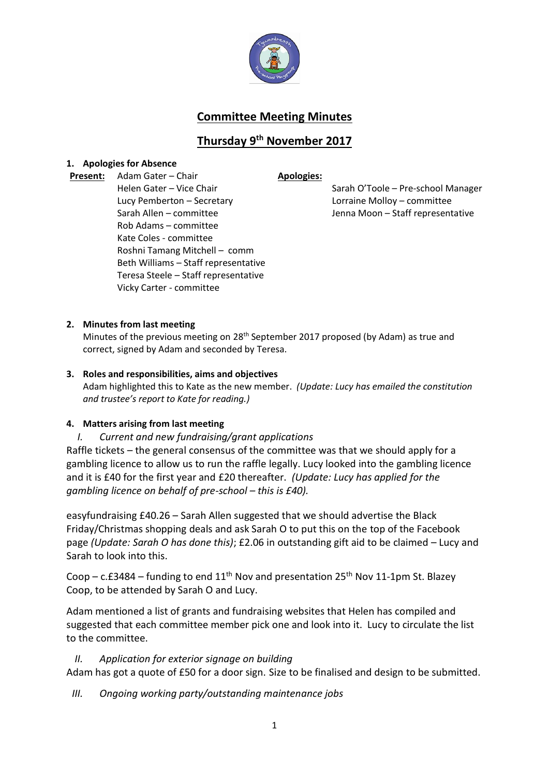

# **Committee Meeting Minutes**

# **Thursday 9 th November 2017**

### **1. Apologies for Absence**

**Present:** Adam Gater – Chair **Apologies:** Helen Gater – Vice Chair Lucy Pemberton – Secretary Sarah Allen – committee Jenna Moon – Staff representative Rob Adams – committee Kate Coles - committee Roshni Tamang Mitchell – comm Beth Williams – Staff representative Teresa Steele – Staff representative Vicky Carter - committee

Sarah O'Toole – Pre-school Manager Lorraine Molloy – committee

### **2. Minutes from last meeting**

Minutes of the previous meeting on 28<sup>th</sup> September 2017 proposed (by Adam) as true and correct, signed by Adam and seconded by Teresa.

# **3. Roles and responsibilities, aims and objectives**  Adam highlighted this to Kate as the new member. *(Update: Lucy has emailed the constitution and trustee's report to Kate for reading.)*

# **4. Matters arising from last meeting**

# *I. Current and new fundraising/grant applications*

Raffle tickets – the general consensus of the committee was that we should apply for a gambling licence to allow us to run the raffle legally. Lucy looked into the gambling licence and it is £40 for the first year and £20 thereafter. *(Update: Lucy has applied for the gambling licence on behalf of pre-school – this is £40).* 

easyfundraising £40.26 – Sarah Allen suggested that we should advertise the Black Friday/Christmas shopping deals and ask Sarah O to put this on the top of the Facebook page *(Update: Sarah O has done this)*; £2.06 in outstanding gift aid to be claimed – Lucy and Sarah to look into this.

Coop – c.£3484 – funding to end  $11<sup>th</sup>$  Nov and presentation 25<sup>th</sup> Nov 11-1pm St. Blazey Coop, to be attended by Sarah O and Lucy.

Adam mentioned a list of grants and fundraising websites that Helen has compiled and suggested that each committee member pick one and look into it. Lucy to circulate the list to the committee.

# *II. Application for exterior signage on building*

Adam has got a quote of £50 for a door sign. Size to be finalised and design to be submitted.

*III. Ongoing working party/outstanding maintenance jobs*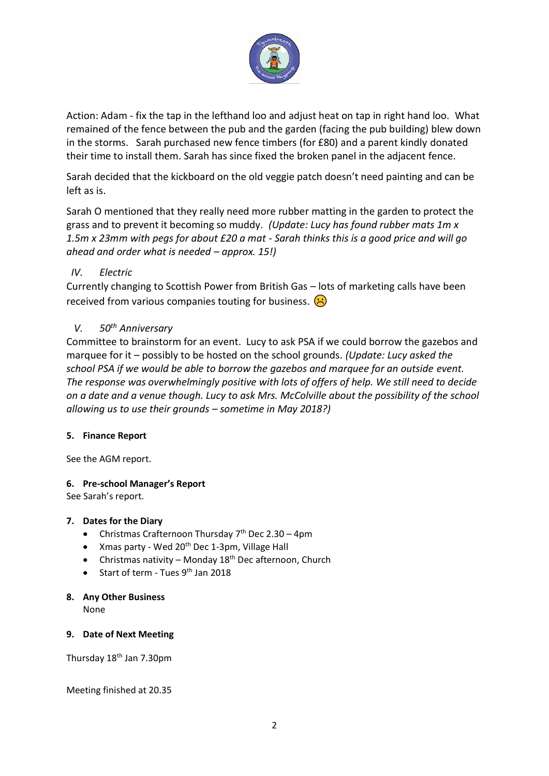

Action: Adam - fix the tap in the lefthand loo and adjust heat on tap in right hand loo. What remained of the fence between the pub and the garden (facing the pub building) blew down in the storms. Sarah purchased new fence timbers (for £80) and a parent kindly donated their time to install them. Sarah has since fixed the broken panel in the adjacent fence.

Sarah decided that the kickboard on the old veggie patch doesn't need painting and can be left as is.

Sarah O mentioned that they really need more rubber matting in the garden to protect the grass and to prevent it becoming so muddy. *(Update: Lucy has found rubber mats 1m x 1.5m x 23mm with pegs for about £20 a mat - Sarah thinks this is a good price and will go ahead and order what is needed – approx. 15!)*

# *IV. Electric*

Currently changing to Scottish Power from British Gas – lots of marketing calls have been received from various companies touting for business.  $\left\langle \cdot \right\rangle$ 

# *V. 50th Anniversary*

Committee to brainstorm for an event. Lucy to ask PSA if we could borrow the gazebos and marquee for it – possibly to be hosted on the school grounds. *(Update: Lucy asked the school PSA if we would be able to borrow the gazebos and marquee for an outside event. The response was overwhelmingly positive with lots of offers of help. We still need to decide on a date and a venue though. Lucy to ask Mrs. McColville about the possibility of the school allowing us to use their grounds – sometime in May 2018?)*

# **5. Finance Report**

See the AGM report.

# **6. Pre-school Manager's Report**

See Sarah's report.

### **7. Dates for the Diary**

- Christmas Crafternoon Thursday 7<sup>th</sup> Dec 2.30 4pm
- Xmas party Wed 20<sup>th</sup> Dec 1-3pm, Village Hall
- Christmas nativity Monday  $18<sup>th</sup>$  Dec afternoon, Church
- Start of term Tues  $9<sup>th</sup>$  Jan 2018

### **8. Any Other Business**

None

### **9. Date of Next Meeting**

Thursday 18th Jan 7.30pm

Meeting finished at 20.35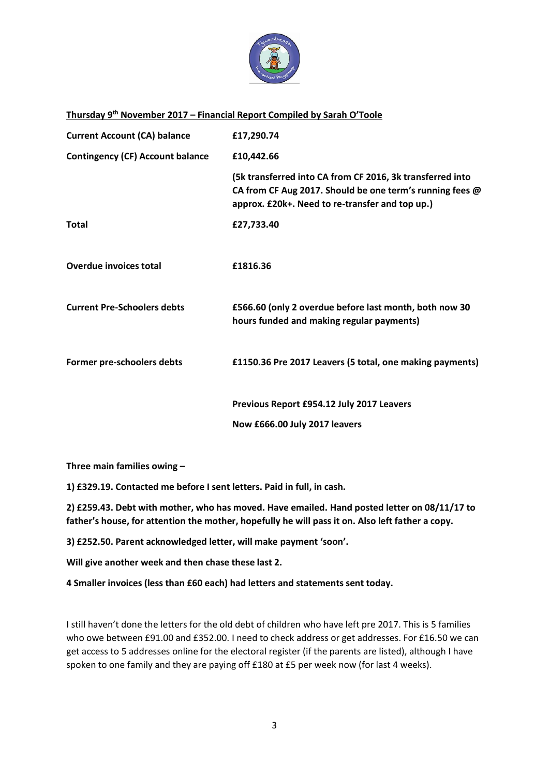

### **Thursday 9 th November 2017 – Financial Report Compiled by Sarah O'Toole**

| <b>Current Account (CA) balance</b>     | £17,290.74                                                                                                                                                               |
|-----------------------------------------|--------------------------------------------------------------------------------------------------------------------------------------------------------------------------|
| <b>Contingency (CF) Account balance</b> | £10,442.66                                                                                                                                                               |
|                                         | (5k transferred into CA from CF 2016, 3k transferred into<br>CA from CF Aug 2017. Should be one term's running fees @<br>approx. £20k+. Need to re-transfer and top up.) |
| <b>Total</b>                            | £27,733.40                                                                                                                                                               |
| <b>Overdue invoices total</b>           | £1816.36                                                                                                                                                                 |
| <b>Current Pre-Schoolers debts</b>      | £566.60 (only 2 overdue before last month, both now 30<br>hours funded and making regular payments)                                                                      |
| Former pre-schoolers debts              | £1150.36 Pre 2017 Leavers (5 total, one making payments)                                                                                                                 |
|                                         | Previous Report £954.12 July 2017 Leavers                                                                                                                                |
|                                         | Now £666.00 July 2017 leavers                                                                                                                                            |

**Three main families owing –**

**1) £329.19. Contacted me before I sent letters. Paid in full, in cash.**

**2) £259.43. Debt with mother, who has moved. Have emailed. Hand posted letter on 08/11/17 to father's house, for attention the mother, hopefully he will pass it on. Also left father a copy.** 

**3) £252.50. Parent acknowledged letter, will make payment 'soon'.**

**Will give another week and then chase these last 2.**

**4 Smaller invoices (less than £60 each) had letters and statements sent today.**

I still haven't done the letters for the old debt of children who have left pre 2017. This is 5 families who owe between £91.00 and £352.00. I need to check address or get addresses. For £16.50 we can get access to 5 addresses online for the electoral register (if the parents are listed), although I have spoken to one family and they are paying off £180 at £5 per week now (for last 4 weeks).